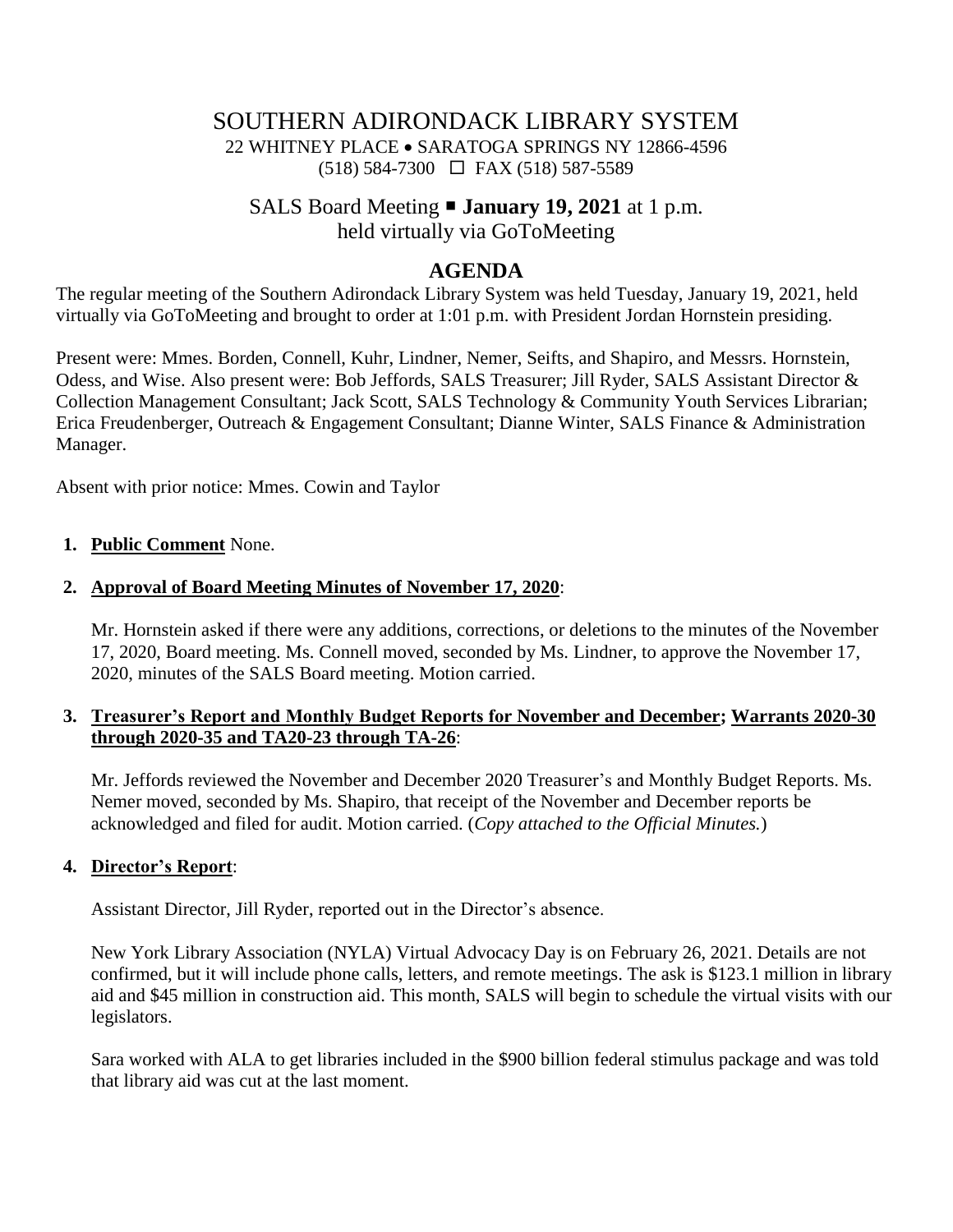# SOUTHERN ADIRONDACK LIBRARY SYSTEM

22 WHITNEY PLACE • SARATOGA SPRINGS NY 12866-4596 (518) 584-7300 FAX (518) 587-5589

# SALS Board Meeting **January 19, 2021** at 1 p.m.

held virtually via GoToMeeting

## **AGENDA**

The regular meeting of the Southern Adirondack Library System was held Tuesday, January 19, 2021, held virtually via GoToMeeting and brought to order at 1:01 p.m. with President Jordan Hornstein presiding.

Present were: Mmes. Borden, Connell, Kuhr, Lindner, Nemer, Seifts, and Shapiro, and Messrs. Hornstein, Odess, and Wise. Also present were: Bob Jeffords, SALS Treasurer; Jill Ryder, SALS Assistant Director & Collection Management Consultant; Jack Scott, SALS Technology & Community Youth Services Librarian; Erica Freudenberger, Outreach & Engagement Consultant; Dianne Winter, SALS Finance & Administration Manager.

Absent with prior notice: Mmes. Cowin and Taylor

### **1. Public Comment** None.

### **2. Approval of Board Meeting Minutes of November 17, 2020**:

Mr. Hornstein asked if there were any additions, corrections, or deletions to the minutes of the November 17, 2020, Board meeting. Ms. Connell moved, seconded by Ms. Lindner, to approve the November 17, 2020, minutes of the SALS Board meeting. Motion carried.

#### **3. Treasurer's Report and Monthly Budget Reports for November and December; Warrants 2020-30 through 2020-35 and TA20-23 through TA-26**:

Mr. Jeffords reviewed the November and December 2020 Treasurer's and Monthly Budget Reports. Ms. Nemer moved, seconded by Ms. Shapiro, that receipt of the November and December reports be acknowledged and filed for audit. Motion carried. (*Copy attached to the Official Minutes.*)

### **4. Director's Report**:

Assistant Director, Jill Ryder, reported out in the Director's absence.

New York Library Association (NYLA) Virtual Advocacy Day is on February 26, 2021. Details are not confirmed, but it will include phone calls, letters, and remote meetings. The ask is \$123.1 million in library aid and \$45 million in construction aid. This month, SALS will begin to schedule the virtual visits with our legislators.

Sara worked with ALA to get libraries included in the \$900 billion federal stimulus package and was told that library aid was cut at the last moment.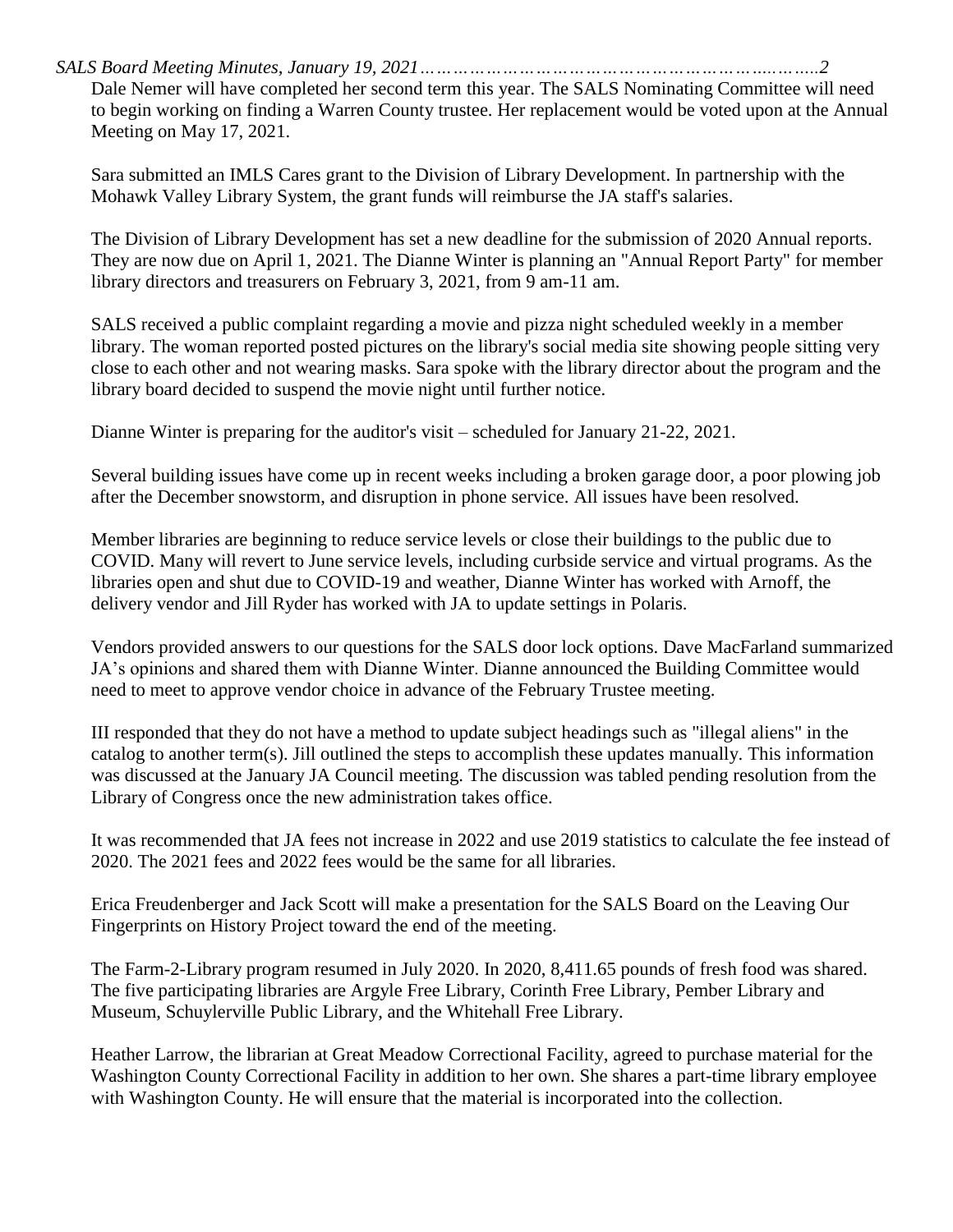*SALS Board Meeting Minutes, January 19, 2021………………………………………………………..……..2*

Dale Nemer will have completed her second term this year. The SALS Nominating Committee will need to begin working on finding a Warren County trustee. Her replacement would be voted upon at the Annual Meeting on May 17, 2021.

Sara submitted an IMLS Cares grant to the Division of Library Development. In partnership with the Mohawk Valley Library System, the grant funds will reimburse the JA staff's salaries.

The Division of Library Development has set a new deadline for the submission of 2020 Annual reports. They are now due on April 1, 2021. The Dianne Winter is planning an "Annual Report Party" for member library directors and treasurers on February 3, 2021, from 9 am-11 am.

SALS received a public complaint regarding a movie and pizza night scheduled weekly in a member library. The woman reported posted pictures on the library's social media site showing people sitting very close to each other and not wearing masks. Sara spoke with the library director about the program and the library board decided to suspend the movie night until further notice.

Dianne Winter is preparing for the auditor's visit – scheduled for January 21-22, 2021.

Several building issues have come up in recent weeks including a broken garage door, a poor plowing job after the December snowstorm, and disruption in phone service. All issues have been resolved.

Member libraries are beginning to reduce service levels or close their buildings to the public due to COVID. Many will revert to June service levels, including curbside service and virtual programs. As the libraries open and shut due to COVID-19 and weather, Dianne Winter has worked with Arnoff, the delivery vendor and Jill Ryder has worked with JA to update settings in Polaris.

Vendors provided answers to our questions for the SALS door lock options. Dave MacFarland summarized JA's opinions and shared them with Dianne Winter. Dianne announced the Building Committee would need to meet to approve vendor choice in advance of the February Trustee meeting.

III responded that they do not have a method to update subject headings such as "illegal aliens" in the catalog to another term(s). Jill outlined the steps to accomplish these updates manually. This information was discussed at the January JA Council meeting. The discussion was tabled pending resolution from the Library of Congress once the new administration takes office.

It was recommended that JA fees not increase in 2022 and use 2019 statistics to calculate the fee instead of 2020. The 2021 fees and 2022 fees would be the same for all libraries.

Erica Freudenberger and Jack Scott will make a presentation for the SALS Board on the Leaving Our Fingerprints on History Project toward the end of the meeting.

The Farm-2-Library program resumed in July 2020. In 2020, 8,411.65 pounds of fresh food was shared. The five participating libraries are Argyle Free Library, Corinth Free Library, Pember Library and Museum, Schuylerville Public Library, and the Whitehall Free Library.

Heather Larrow, the librarian at Great Meadow Correctional Facility, agreed to purchase material for the Washington County Correctional Facility in addition to her own. She shares a part-time library employee with Washington County. He will ensure that the material is incorporated into the collection.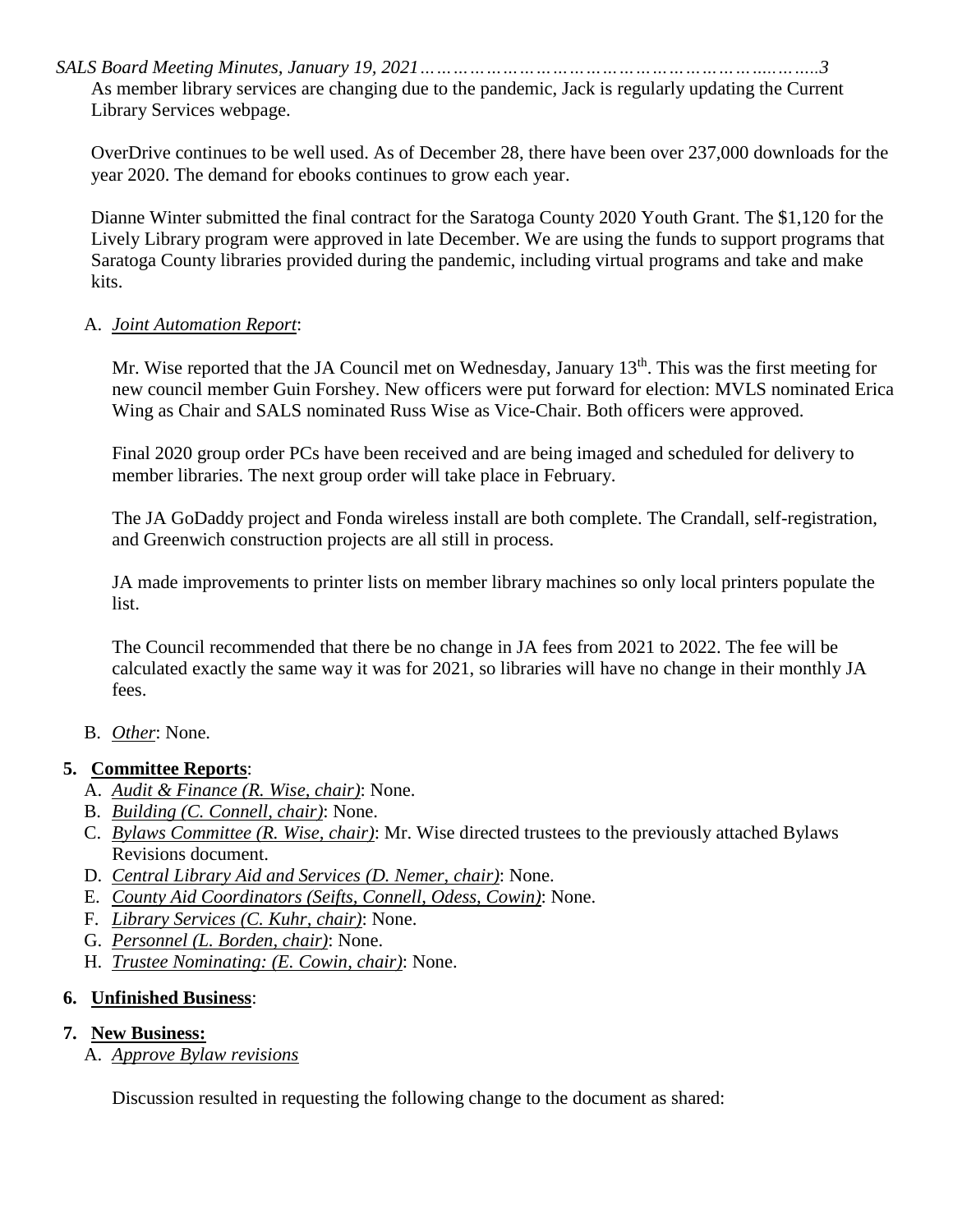*SALS Board Meeting Minutes, January 19, 2021………………………………………………………..……..3* As member library services are changing due to the pandemic, Jack is regularly updating the Current Library Services webpage.

OverDrive continues to be well used. As of December 28, there have been over 237,000 downloads for the year 2020. The demand for ebooks continues to grow each year.

Dianne Winter submitted the final contract for the Saratoga County 2020 Youth Grant. The \$1,120 for the Lively Library program were approved in late December. We are using the funds to support programs that Saratoga County libraries provided during the pandemic, including virtual programs and take and make kits.

#### A. *Joint Automation Report*:

Mr. Wise reported that the JA Council met on Wednesday, January 13<sup>th</sup>. This was the first meeting for new council member Guin Forshey. New officers were put forward for election: MVLS nominated Erica Wing as Chair and SALS nominated Russ Wise as Vice-Chair. Both officers were approved.

Final 2020 group order PCs have been received and are being imaged and scheduled for delivery to member libraries. The next group order will take place in February.

The JA GoDaddy project and Fonda wireless install are both complete. The Crandall, self-registration, and Greenwich construction projects are all still in process.

JA made improvements to printer lists on member library machines so only local printers populate the list.

The Council recommended that there be no change in JA fees from 2021 to 2022. The fee will be calculated exactly the same way it was for 2021, so libraries will have no change in their monthly JA fees.

### B. *Other*: None.

### **5. Committee Reports**:

- A. *Audit & Finance (R. Wise, chair)*: None.
- B. *Building (C. Connell, chair)*: None.
- C. *Bylaws Committee (R. Wise, chair)*: Mr. Wise directed trustees to the previously attached Bylaws Revisions document.
- D. *Central Library Aid and Services (D. Nemer, chair)*: None.
- E. *County Aid Coordinators (Seifts, Connell, Odess, Cowin)*: None.
- F. *Library Services (C. Kuhr, chair)*: None.
- G. *Personnel (L. Borden, chair)*: None.
- H. *Trustee Nominating: (E. Cowin, chair)*: None.

### **6. Unfinished Business**:

### **7. New Business:**

A. *Approve Bylaw revisions*

Discussion resulted in requesting the following change to the document as shared: